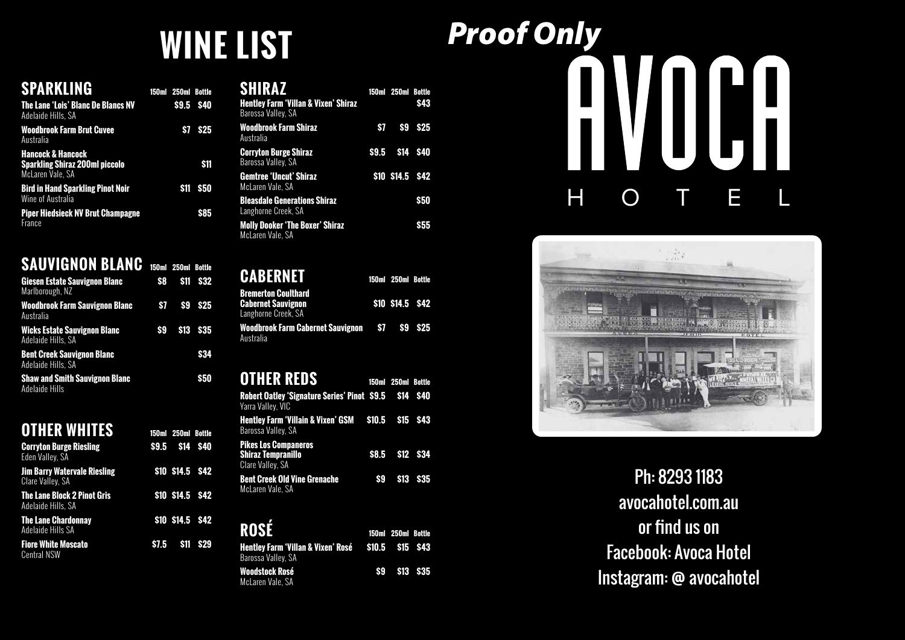Ph: 8293 1183 avocahotel.com.au or find us on Facebook: Avoca Hotel Instagram: @ avocahotel



## **SPARKLING 150ml 250ml Bottle**

| The Lane 'Lois' Blanc De Blancs NV<br>Adelaide Hills, SA                                  | $$9.5$ \$40 |                 |
|-------------------------------------------------------------------------------------------|-------------|-----------------|
| <b>Woodbrook Farm Brut Cuvee</b><br>Australia                                             |             | <b>\$7 \$25</b> |
| <b>Hancock &amp; Hancock</b><br><b>Sparkling Shiraz 200ml piccolo</b><br>McLaren Vale, SA |             | \$11            |
| <b>Bird in Hand Sparkling Pinot Noir</b><br>Wine of Australia                             |             | \$11 \$50       |
| <b>Piper Hiedsieck NV Brut Champagne</b><br>France                                        |             | \$85            |

| <b>SAUVIGNON BLANC</b> 150ml 250ml Bottle                 |     |                 |           |
|-----------------------------------------------------------|-----|-----------------|-----------|
| <b>Giesen Estate Sauvignon Blanc</b><br>Marlborough, NZ   | \$8 |                 | \$11 \$32 |
| <b>Woodbrook Farm Sauvignon Blanc</b><br>Australia        |     | $$7$ $$9$ $$25$ |           |
| <b>Wicks Estate Sauvignon Blanc</b><br>Adelaide Hills, SA |     | \$9 \$13 \$35   |           |
| <b>Bent Creek Sauvignon Blanc</b><br>Adelaide Hills, SA   |     |                 | \$34      |
| <b>Shaw and Smith Sauvignon Blanc</b><br>Adelaide Hills   |     |                 | \$50      |

## **OTHER WHITES 150ml 250ml Bottle**

| <b>Corryton Burge Riesling</b><br>Eden Valley, SA        | \$9.5 \$14 \$40  |  |
|----------------------------------------------------------|------------------|--|
| <b>Jim Barry Watervale Riesling</b><br>Clare Valley, SA  | \$10 \$14.5 \$42 |  |
| <b>The Lane Block 2 Pinot Gris</b><br>Adelaide Hills, SA | \$10 \$14.5 \$42 |  |
| <b>The Lane Chardonnay</b><br><b>Adelaide Hills SA</b>   | \$10 \$14.5 \$42 |  |
| <b>Fiore White Moscato</b><br><b>Central NSW</b>         | \$7.5 \$11 \$29  |  |

# HOTEL **WINE LIST** *Proof Only*



| SHIRAZ<br><b>Hentley Farm 'Villan &amp; Vixen' Shiraz</b><br>Barossa Valley, SA | 150ml 250ml Bottle | \$43 |
|---------------------------------------------------------------------------------|--------------------|------|
| Woodbrook Farm Shiraz<br>Australia                                              | \$7 \$9 \$25       |      |
| <b>Corryton Burge Shiraz</b><br><b>Barossa Valley, SA</b>                       | \$9.5 \$14 \$40    |      |
| Gemtree 'Uncut' Shiraz<br>McLaren Vale, SA                                      | \$10 \$14.5 \$42   |      |
| <b>Bleasdale Generations Shiraz</b><br>Langhorne Creek, SA                      |                    | \$50 |
| <b>Molly Dooker 'The Boxer' Shiraz</b><br>McLaren Vale, SA                      |                    | S5.  |

| <b>CABERNET</b>                                                                | 150ml 250ml Bottle |  |
|--------------------------------------------------------------------------------|--------------------|--|
| <b>Bremerton Coulthard</b><br><b>Cabernet Sauvignon</b><br>Langhorne Creek, SA | \$10 \$14.5 \$42   |  |
| Woodbrook Farm Cabernet Sauvignon \$7 \$9 \$25<br>Australia                    |                    |  |

### **OTHER REDS 150ml 250ml Bottle**

| Robert Oatley 'Signature Series' Pinot \$9.5 \$14 \$40<br>Yarra Valley, VIC         |                    |  |
|-------------------------------------------------------------------------------------|--------------------|--|
| Hentley Farm 'Villain & Vixen' GSM \$10.5 \$15 \$43<br><b>Barossa Valley, SA</b>    |                    |  |
| <b>Pikes Los Companeros</b><br><b>Shiraz Tempranillo</b><br><b>Clare Valley, SA</b> | \$8.5 \$12 \$34    |  |
| <b>Bent Creek Old Vine Grenache</b><br>McLaren Vale, SA                             | \$9 \$13 \$35      |  |
| ROSÉ                                                                                | 150ml 250ml Bottle |  |
| Hentley Farm 'Villan & Vixen' Rosé<br>Barossa Valley, SA                            | \$10.5 \$15 \$43   |  |

**Woodstock Rosé \$9 \$13 \$35**

McLaren Vale, SA